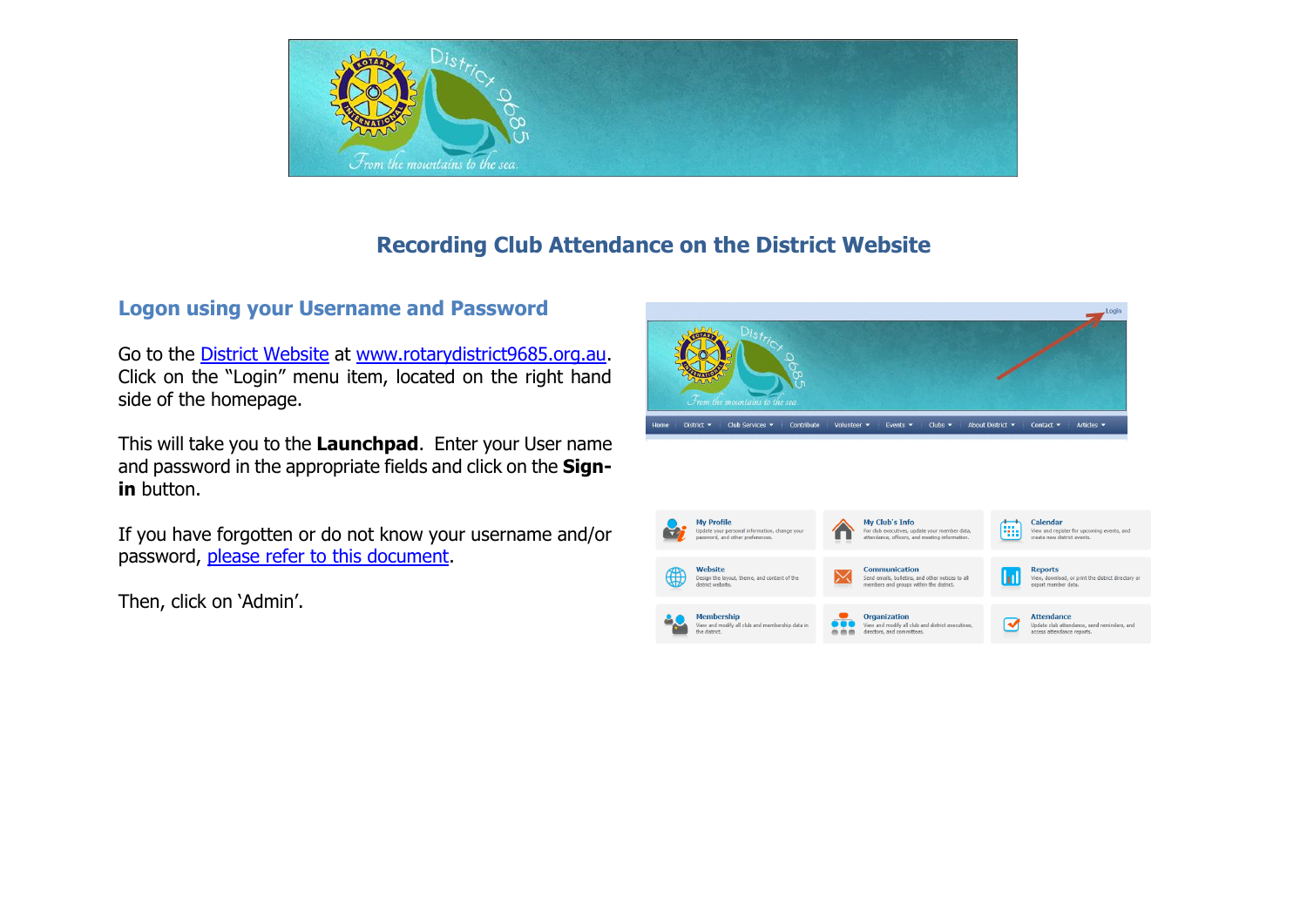

# **Recording Club Attendance on the District Website**

### **Logon using your Username and Password**

Go to the [District Website](http://www.rotarydistrict9685.org.au/) at [www.rotarydistrict9685.org.au.](http://www.rotarydistrict9685.org.au/) Click on the "Login" menu item, located on the right hand side of the homepage.

This will take you to the **Launchpad**. Enter your User name and password in the appropriate fields and click on the **Signin** button.

If you have forgotten or do not know your username and/or password, [please refer to this document.](http://clubrunner.blob.core.windows.net/00000050081/en-au/files/sitepage/helpdesk-district-website/getting-started/GettingStarted_Member_Cheat_Sheet.pdf)

Then, click on 'Admin'.

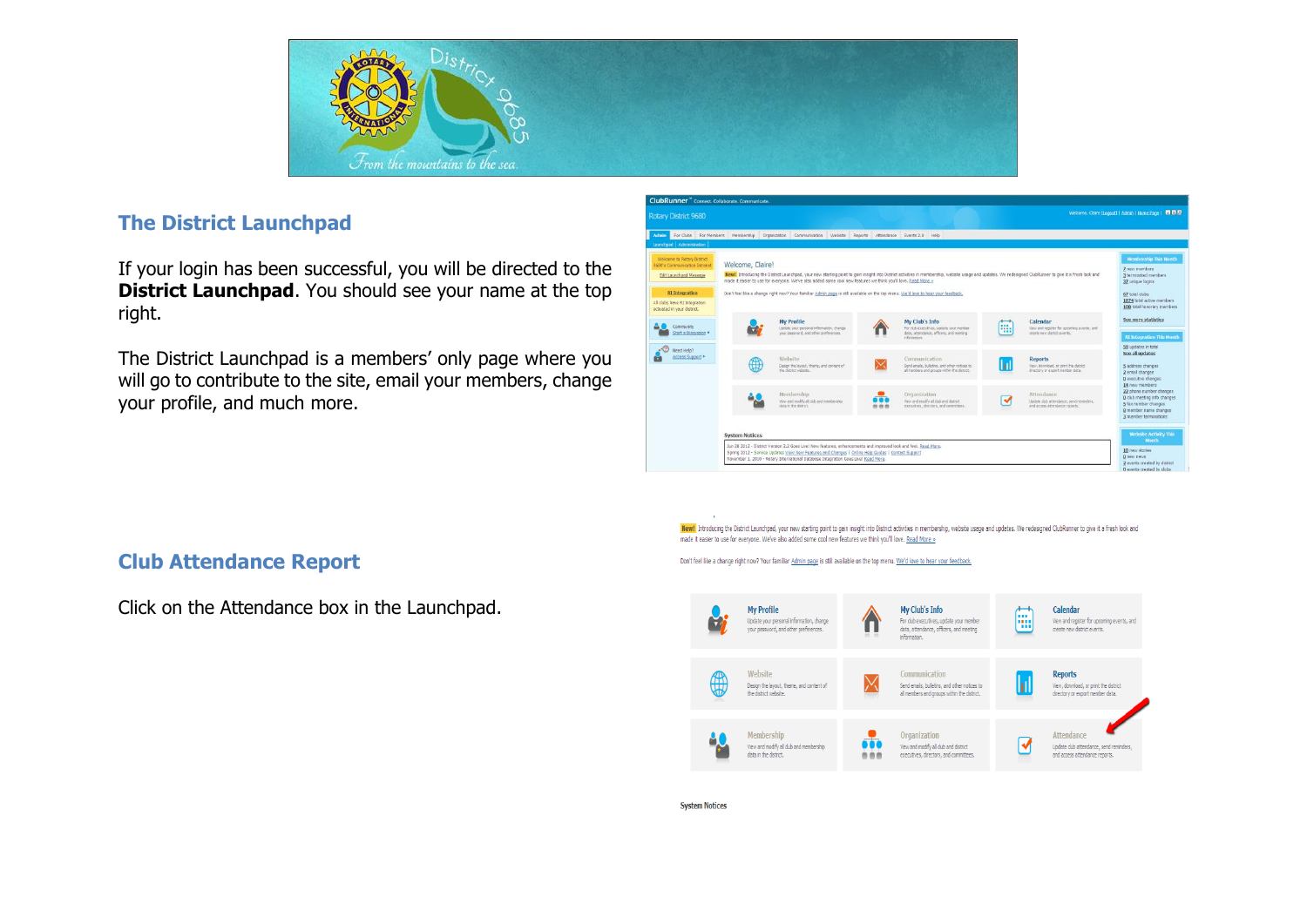

### **The District Launchpad**

If your login has been successful, you will be directed to the **District Launchpad**. You should see your name at the top right.

The District Launchpad is a members' only page where you will go to contribute to the site, email your members, change your profile, and much more.



New! Introducing the District Launchgad, your new starting point to gain insight into District activities in membership, website usage and updates. We redesigned ClubRunner to give it a fresh look and made it easier to use for everyone. We've also added some cool new features we think you'll love. Read More »

Don't feel like a change right now? Your familiar Admin page is still available on the top menu. We'd love to hear your feedback.



#### **System Notices**

# **Club Attendance Report**

Click on the Attendance box in the Launchpad.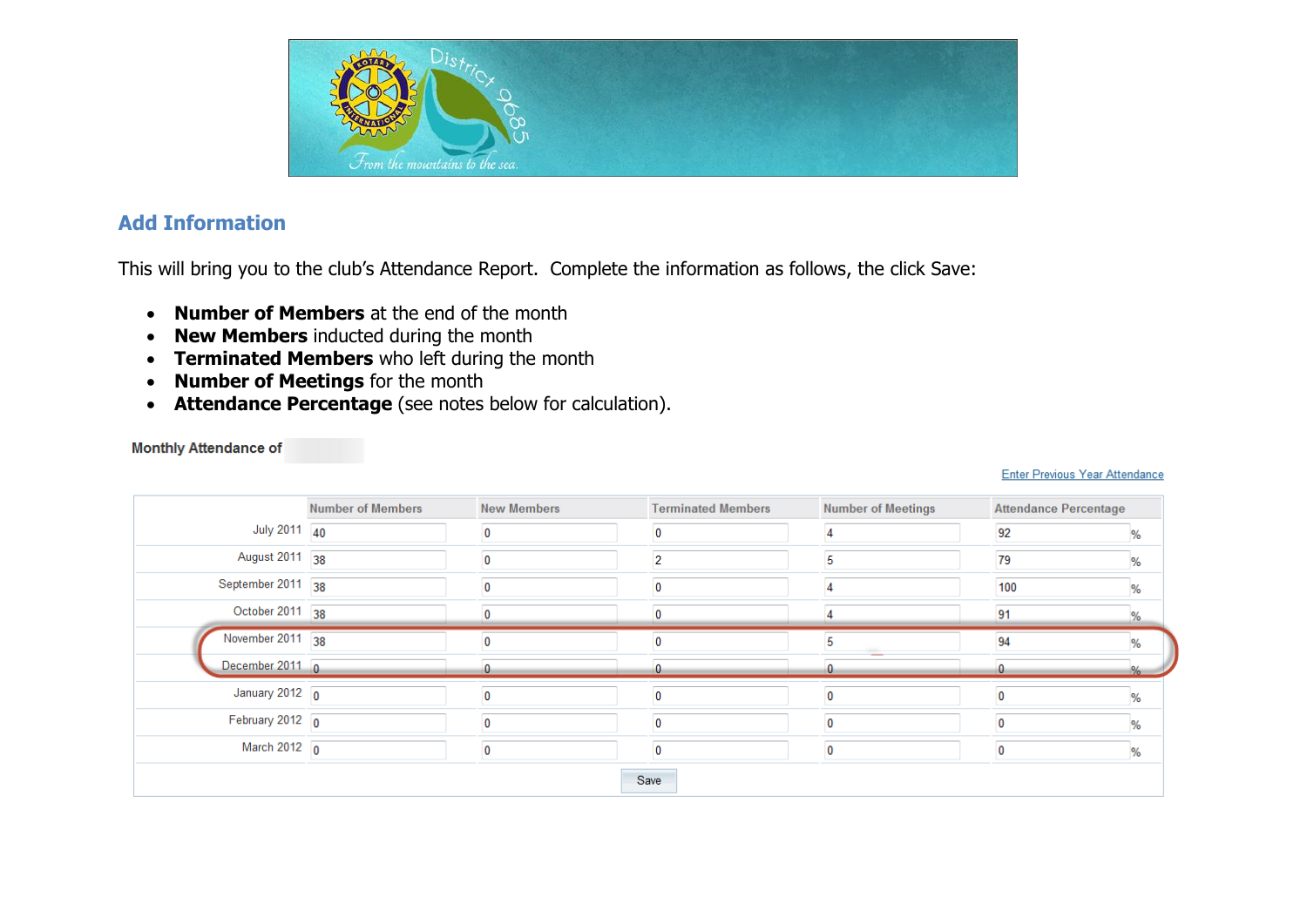

### **Add Information**

This will bring you to the club's Attendance Report. Complete the information as follows, the click Save:

- **Number of Members** at the end of the month
- **New Members** inducted during the month
- **Terminated Members** who left during the month
- **Number of Meetings** for the month
- **Attendance Percentage** (see notes below for calculation).

| <b>Monthly Attendance of</b> |  |  |  |  |  |
|------------------------------|--|--|--|--|--|
|                              |  |  |  |  |  |
|                              |  |  |  |  |  |

### Enter Previous Year Attendance

|                          | <b>Number of Members</b> | <b>New Members</b> | <b>Terminated Members</b> | <b>Number of Meetings</b> | <b>Attendance Percentage</b> |      |
|--------------------------|--------------------------|--------------------|---------------------------|---------------------------|------------------------------|------|
| July 2011 40             |                          |                    |                           |                           | 92                           | %    |
| August 2011 38           |                          |                    | 2                         |                           | 79                           | %    |
| September 2011           | 38                       |                    |                           |                           | 100                          | %    |
| October 2011 38          |                          |                    |                           |                           | 91                           | %    |
| November 2011 38         |                          |                    |                           |                           | 94                           | %    |
| December 2011 0          |                          |                    |                           |                           |                              | $\%$ |
| January 2012 $\boxed{0}$ |                          |                    |                           | 0                         | $\mathbf 0$                  | %    |
|                          |                          |                    |                           |                           |                              |      |
| February 2012 $\sqrt{0}$ |                          |                    |                           |                           | 0                            | %    |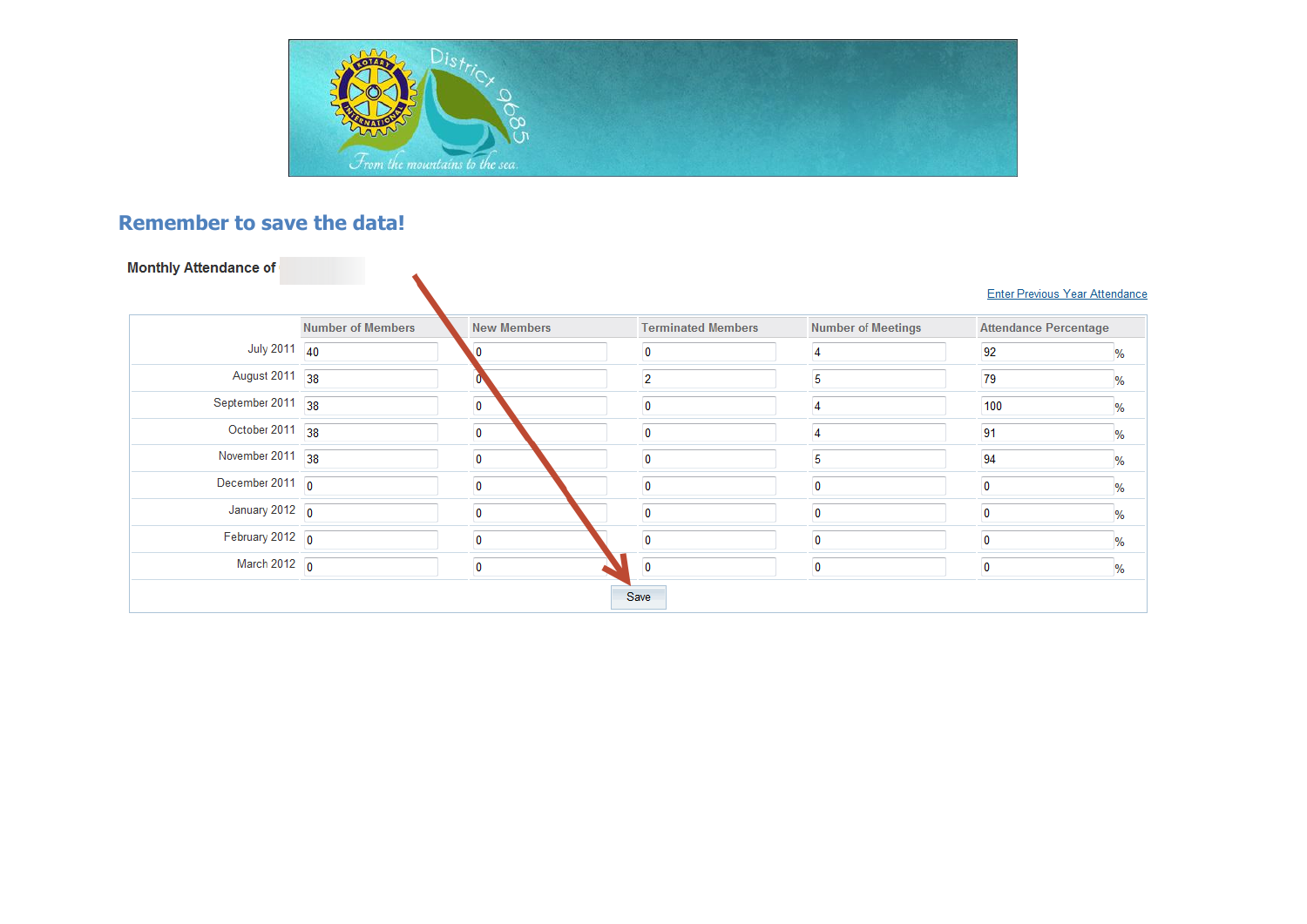

# **Remember to save the data!**

|                           | <b>Number of Members</b> | <b>New Members</b>      | <b>Terminated Members</b> | <b>Number of Meetings</b> | <b>Attendance Percentage</b> |      |
|---------------------------|--------------------------|-------------------------|---------------------------|---------------------------|------------------------------|------|
| July 2011 40              |                          |                         |                           |                           | 92                           | %    |
| August 2011 38            |                          |                         | 2                         | 5                         | 79                           | %    |
| September 2011 38         |                          | $\overline{0}$          | 0                         | 4                         | 100                          | %    |
| October 2011 38           |                          | $\overline{\mathbf{0}}$ | 0                         | 4                         | 91                           | %    |
| November 2011 38          |                          | $\overline{\mathbf{0}}$ |                           | 5                         | 94                           | $\%$ |
| December 2011 $\boxed{0}$ |                          | $\mathbf 0$             | 0                         | 0                         | $\mathbf 0$                  | %    |
| January 2012 $\boxed{0}$  |                          | 0                       |                           | 0                         | 0                            | %    |
| February 2012 $\boxed{0}$ |                          | $\Omega$                |                           | 0                         | 0                            | %    |
| March 2012 $\boxed{0}$    |                          | $\overline{\mathbf{0}}$ | 0                         | 0                         | $\mathbf 0$                  | $\%$ |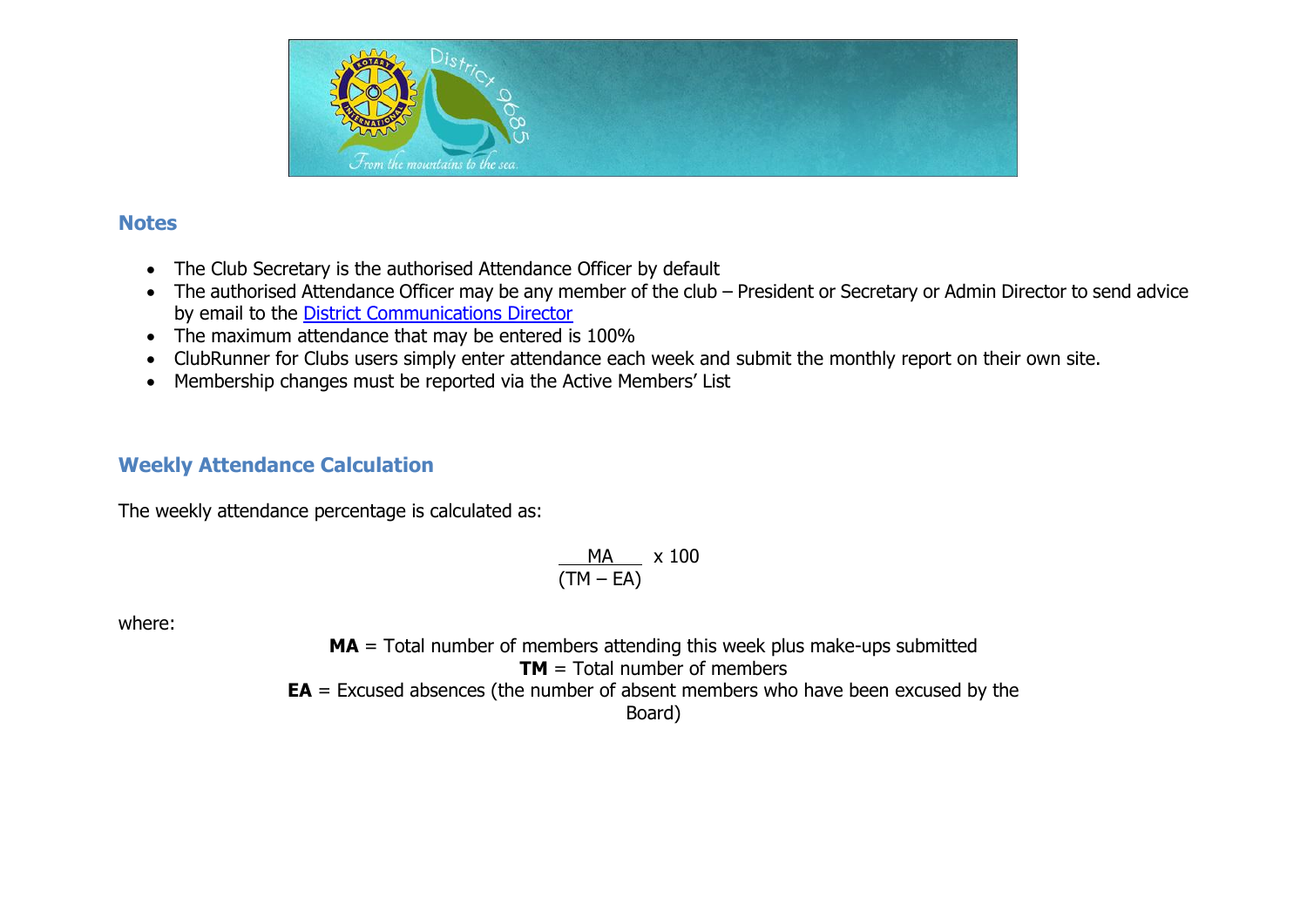

### **Notes**

- The Club Secretary is the authorised Attendance Officer by default
- The authorised Attendance Officer may be any member of the club President or Secretary or Admin Director to send advice by email to the [District Communications Director](mailto:communications@rotarydistrict9685.org.au?subject=Change%20of%20Attendance%20Officer%20for%20District%20Communication%20Intranet)
- The maximum attendance that may be entered is 100%
- ClubRunner for Clubs users simply enter attendance each week and submit the monthly report on their own site.
- Membership changes must be reported via the Active Members' List

## **Weekly Attendance Calculation**

The weekly attendance percentage is calculated as:

$$
\frac{MA}{(TM - EA)} \times 100
$$

where:

**MA** = Total number of members attending this week plus make-ups submitted **TM** = Total number of members **EA** = Excused absences (the number of absent members who have been excused by the Board)